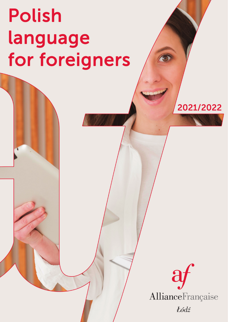## Polish language for foreigners

# AllianceFrançaise Łódź

2021/2022